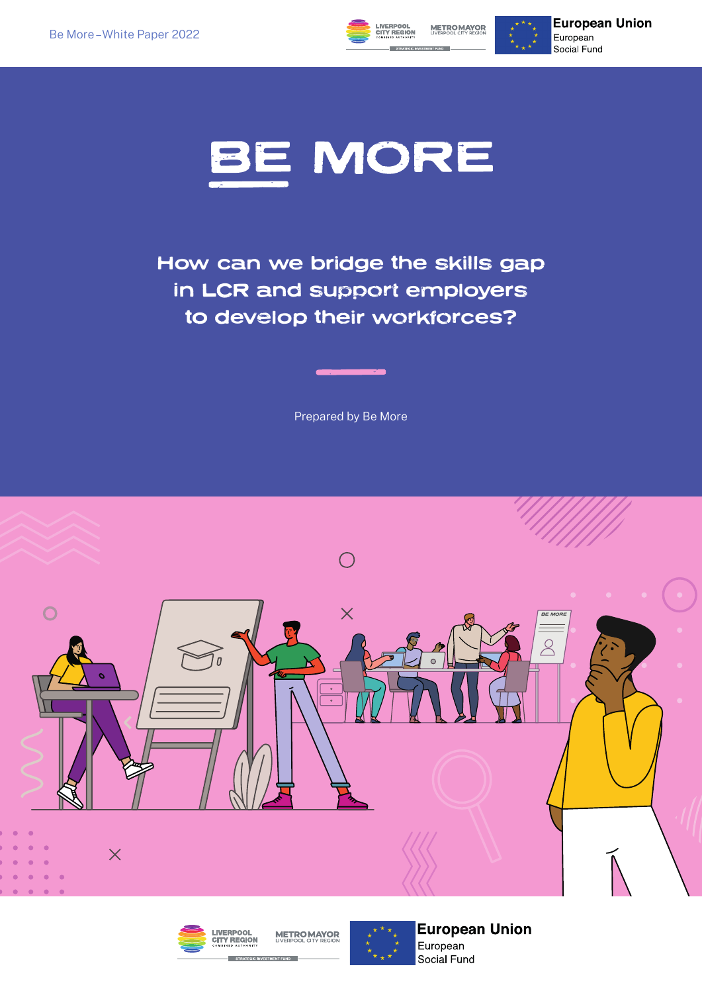

**European Union** European Social Fund



How can we bridge the skills gap in LCR and support employers to develop their workforces?

Prepared by Be More







**European Union** European Social Fund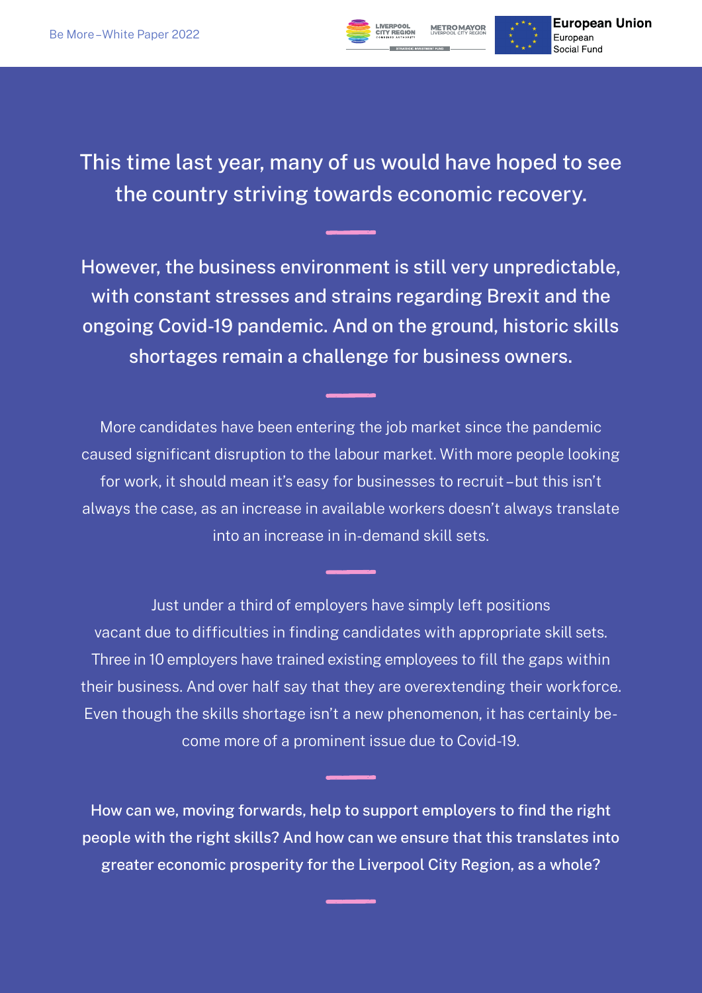

This time last year, many of us would have hoped to see the country striving towards economic recovery.

However, the business environment is still very unpredictable, with constant stresses and strains regarding Brexit and the ongoing Covid-19 pandemic. And on the ground, historic skills shortages remain a challenge for business owners.

More candidates have been entering the job market since the pandemic caused significant disruption to the labour market. With more people looking for work, it should mean it's easy for businesses to recruit – but this isn't always the case, as an increase in available workers doesn't always translate into an increase in in-demand skill sets.

Just under a third of employers have simply left positions vacant due to difficulties in finding candidates with appropriate skill sets. Three in 10 employers have trained existing employees to fill the gaps within their business. And over half say that they are overextending their workforce. Even though the skills shortage isn't a new phenomenon, it has certainly become more of a prominent issue due to Covid-19.

How can we, moving forwards, help to support employers to find the right people with the right skills? And how can we ensure that this translates into greater economic prosperity for the Liverpool City Region, as a whole?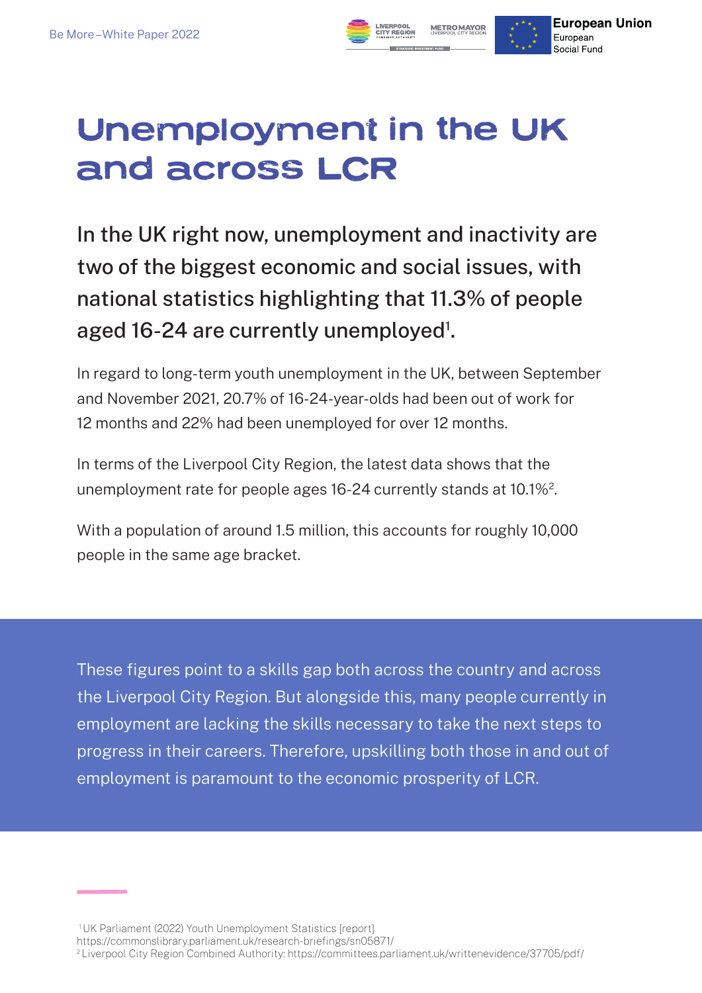

### Unemployment in the UK and across LCR

In the UK right now, unemployment and inactivity are two of the biggest economic and social issues, with national statistics highlighting that 11.3% of people aged 16-24 are currently unemployed<sup>1</sup>.

In regard to long-term youth unemployment in the UK, between September and November 2021, 20.7% of 16-24-year-olds had been out of work for 12 months and 22% had been unemployed for over 12 months.

In terms of the Liverpool City Region, the latest data shows that the unemployment rate for people ages 16-24 currently stands at 10.1%2.

With a population of around 1.5 million, this accounts for roughly 10,000 people in the same age bracket.

These figures point to a skills gap both across the country and across the Liverpool City Region. But alongside this, many people currently in employment are lacking the skills necessary to take the next steps to progress in their careers. Therefore, upskilling both those in and out of employment is paramount to the economic prosperity of LCR.

- https://commonslibrary.parliament.uk/research-briefings/sn05871/
- <sup>2</sup>Liverpool City Region Combined Authority: https://committees.parliament.uk/writtenevidence/37705/pdf/

<sup>1</sup> UK Parliament (2022) Youth Unemployment Statistics [report]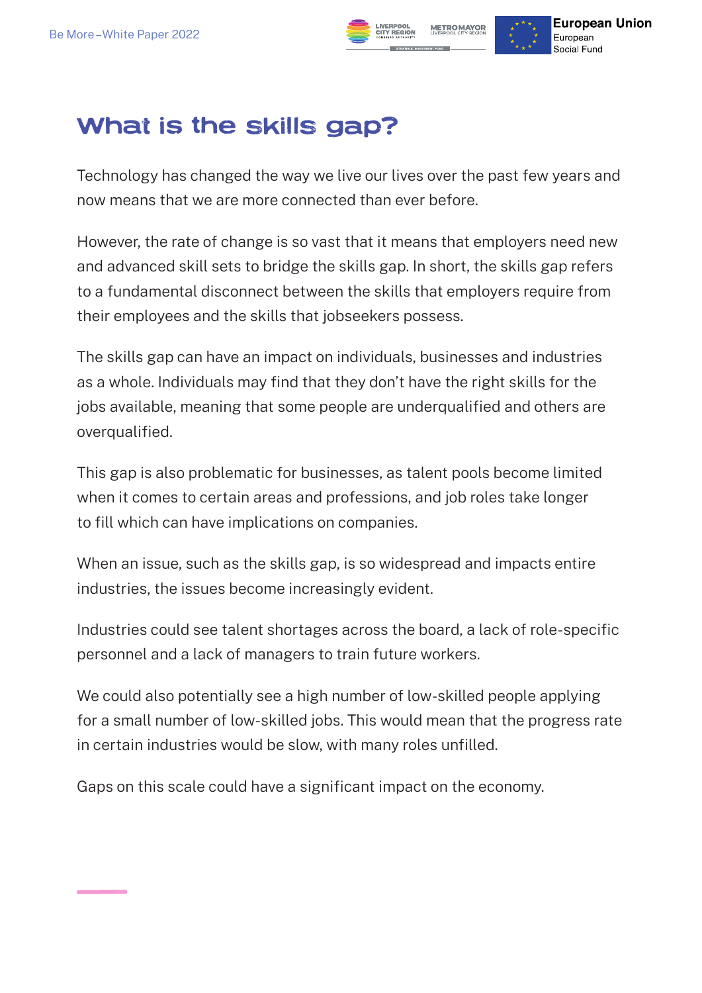

#### What is the skills gap?

Technology has changed the way we live our lives over the past few years and now means that we are more connected than ever before.

However, the rate of change is so vast that it means that employers need new and advanced skill sets to bridge the skills gap. In short, the skills gap refers to a fundamental disconnect between the skills that employers require from their employees and the skills that jobseekers possess.

The skills gap can have an impact on individuals, businesses and industries as a whole. Individuals may find that they don't have the right skills for the jobs available, meaning that some people are underqualified and others are overqualified.

This gap is also problematic for businesses, as talent pools become limited when it comes to certain areas and professions, and job roles take longer to fill which can have implications on companies.

When an issue, such as the skills gap, is so widespread and impacts entire industries, the issues become increasingly evident.

Industries could see talent shortages across the board, a lack of role-specific personnel and a lack of managers to train future workers.

We could also potentially see a high number of low-skilled people applying for a small number of low-skilled jobs. This would mean that the progress rate in certain industries would be slow, with many roles unfilled.

Gaps on this scale could have a significant impact on the economy.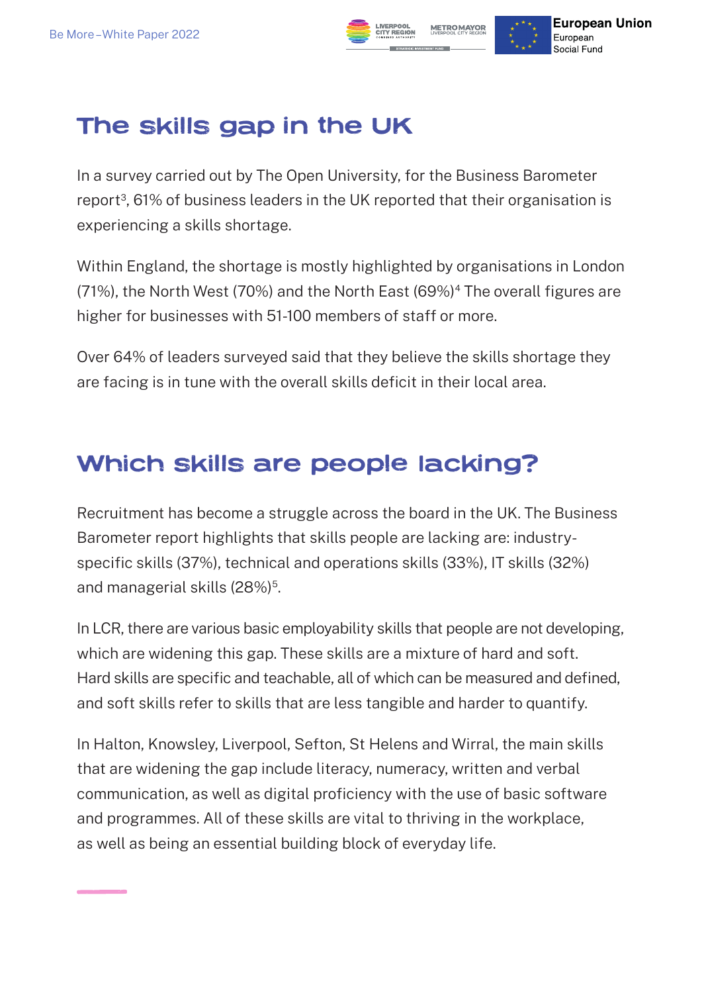

#### The skills gap in the UK

In a survey carried out by The Open University, for the Business Barometer report<sup>3</sup>, 61% of business leaders in the UK reported that their organisation is experiencing a skills shortage.

Within England, the shortage is mostly highlighted by organisations in London (71%), the North West (70%) and the North East (69%)<sup>4</sup> The overall figures are higher for businesses with 51-100 members of staff or more.

Over 64% of leaders surveyed said that they believe the skills shortage they are facing is in tune with the overall skills deficit in their local area.

#### Which skills are people lacking?

Recruitment has become a struggle across the board in the UK. The Business Barometer report highlights that skills people are lacking are: industryspecific skills (37%), technical and operations skills (33%), IT skills (32%) and managerial skills (28%)<sup>5</sup>.

In LCR, there are various basic employability skills that people are not developing, which are widening this gap. These skills are a mixture of hard and soft. Hard skills are specific and teachable, all of which can be measured and defined, and soft skills refer to skills that are less tangible and harder to quantify.

In Halton, Knowsley, Liverpool, Sefton, St Helens and Wirral, the main skills that are widening the gap include literacy, numeracy, written and verbal communication, as well as digital proficiency with the use of basic software and programmes. All of these skills are vital to thriving in the workplace, as well as being an essential building block of everyday life.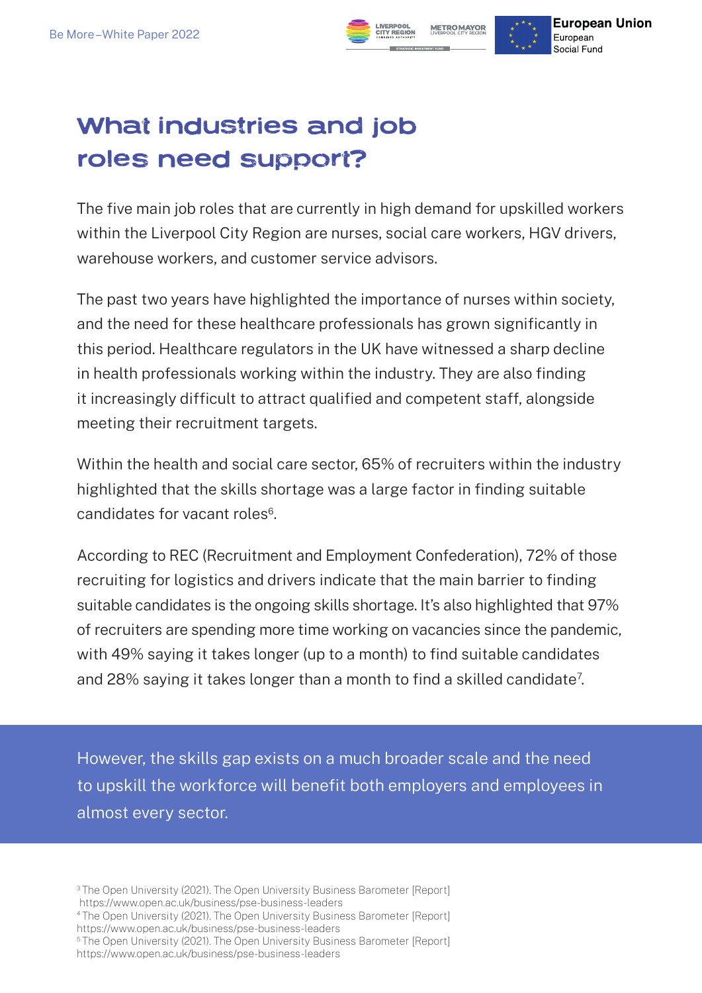### What industries and job roles need support?

The five main job roles that are currently in high demand for upskilled workers within the Liverpool City Region are nurses, social care workers, HGV drivers, warehouse workers, and customer service advisors.

**European Union** 

European Social Fund

**METROMAYOR** 

The past two years have highlighted the importance of nurses within society, and the need for these healthcare professionals has grown significantly in this period. Healthcare regulators in the UK have witnessed a sharp decline in health professionals working within the industry. They are also finding it increasingly difficult to attract qualified and competent staff, alongside meeting their recruitment targets.

Within the health and social care sector, 65% of recruiters within the industry highlighted that the skills shortage was a large factor in finding suitable candidates for vacant roles<sup>6</sup>.

According to REC (Recruitment and Employment Confederation), 72% of those recruiting for logistics and drivers indicate that the main barrier to finding suitable candidates is the ongoing skills shortage. It's also highlighted that 97% of recruiters are spending more time working on vacancies since the pandemic, with 49% saying it takes longer (up to a month) to find suitable candidates and 28% saying it takes longer than a month to find a skilled candidate<sup>7</sup>.

However, the skills gap exists on a much broader scale and the need to upskill the workforce will benefit both employers and employees in almost every sector.

https://www.open.ac.uk/business/pse-business-leaders

<sup>&</sup>lt;sup>3</sup>The Open University (2021). The Open University Business Barometer [Report]

<sup>4</sup> The Open University (2021). The Open University Business Barometer [Report] https://www.open.ac.uk/business/pse-business-leaders

<sup>&</sup>lt;sup>5</sup>The Open University (2021). The Open University Business Barometer [Report] https://www.open.ac.uk/business/pse-business-leaders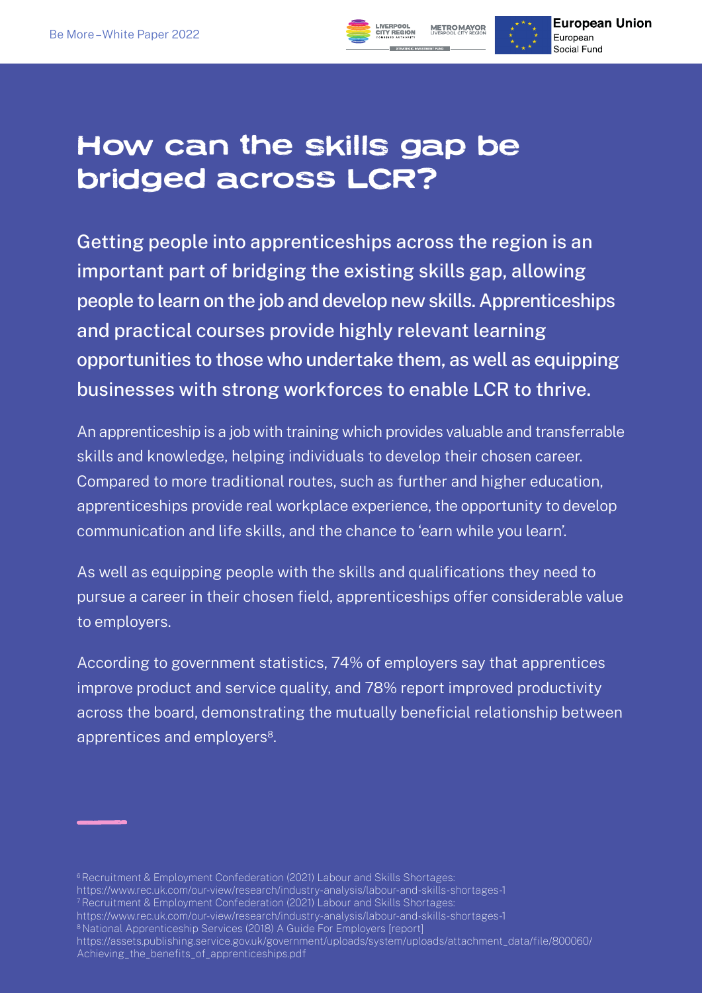

Getting people into apprenticeships across the region is an important part of bridging the existing skills gap, allowing people to learn on the job and develop new skills. Apprenticeships and practical courses provide highly relevant learning opportunities to those who undertake them, as well as equipping businesses with strong workforces to enable LCR to thrive.

**European Union** 

European Social Fund

**METRO MAYOR** 

An apprenticeship is a job with training which provides valuable and transferrable skills and knowledge, helping individuals to develop their chosen career. Compared to more traditional routes, such as further and higher education, apprenticeships provide real workplace experience, the opportunity to develop communication and life skills, and the chance to 'earn while you learn'.

As well as equipping people with the skills and qualifications they need to pursue a career in their chosen field, apprenticeships offer considerable value to employers.

According to government statistics, 74% of employers say that apprentices improve product and service quality, and 78% report improved productivity across the board, demonstrating the mutually beneficial relationship between apprentices and employers<sup>8</sup>.

<sup>6</sup> Recruitment & Employment Confederation (2021) Labour and Skills Shortages:

- https://www.rec.uk.com/our-view/research/industry-analysis/labour-and-skills-shortages-1
- 7 Recruitment & Employment Confederation (2021) Labour and Skills Shortages:

<sup>8</sup> National Apprenticeship Services (2018) A Guide For Employers [report]

https://assets.publishing.service.gov.uk/government/uploads/system/uploads/attachment\_data/file/800060/ Achieving\_the\_benefits\_of\_apprenticeships.pdf

https://www.rec.uk.com/our-view/research/industry-analysis/labour-and-skills-shortages-1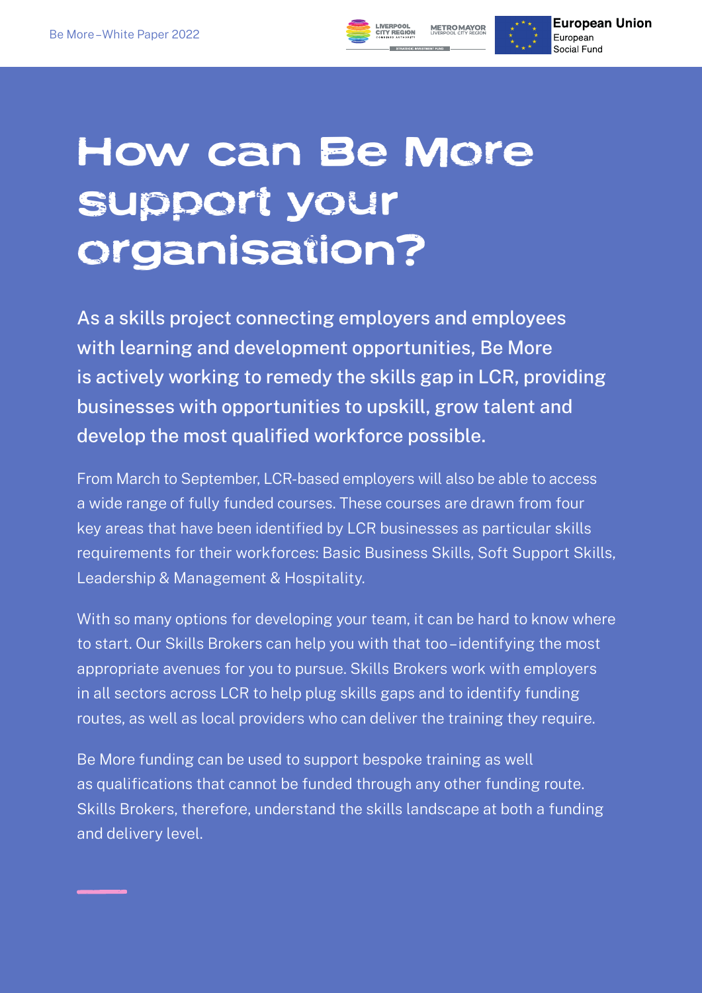

# How can Be More support your organisation?

As a skills project connecting employers and employees with learning and development opportunities, Be More is actively working to remedy the skills gap in LCR, providing businesses with opportunities to upskill, grow talent and develop the most qualified workforce possible.

From March to September, LCR-based employers will also be able to access a wide range of fully funded courses. These courses are drawn from four key areas that have been identified by LCR businesses as particular skills requirements for their workforces: Basic Business Skills, Soft Support Skills, Leadership & Management & Hospitality.

With so many options for developing your team, it can be hard to know where to start. Our Skills Brokers can help you with that too – identifying the most appropriate avenues for you to pursue. Skills Brokers work with employers in all sectors across LCR to help plug skills gaps and to identify funding routes, as well as local providers who can deliver the training they require.

Be More funding can be used to support bespoke training as well as qualifications that cannot be funded through any other funding route. Skills Brokers, therefore, understand the skills landscape at both a funding and delivery level.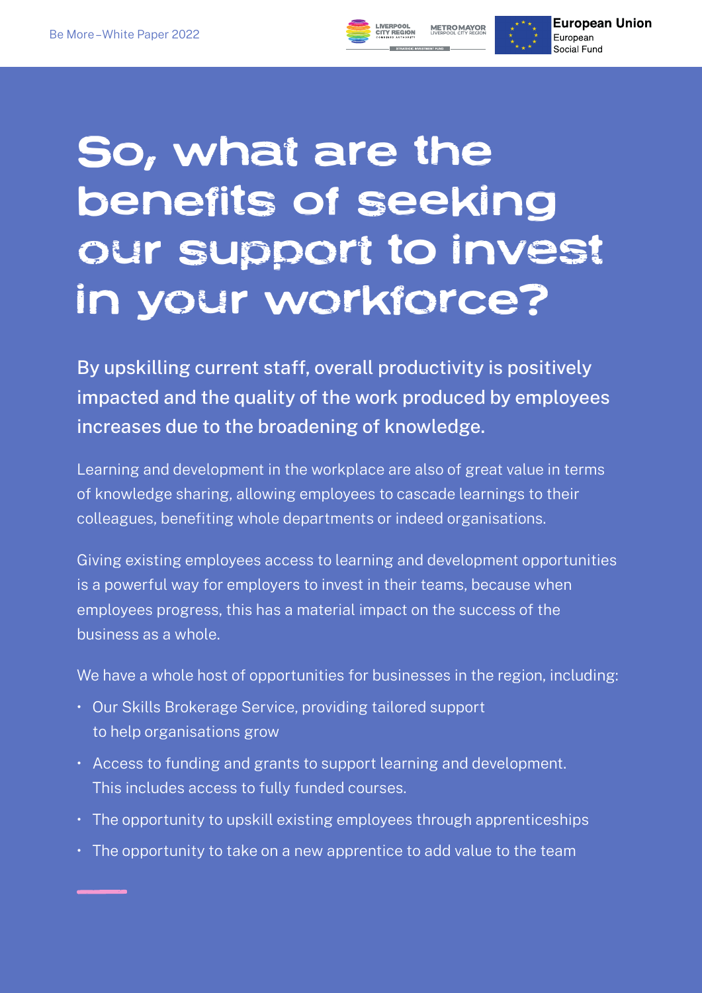



**European Union** European Social Fund

# So, what are the benefits of seeking our support to invest in your workforce?

By upskilling current staff, overall productivity is positively impacted and the quality of the work produced by employees increases due to the broadening of knowledge.

Learning and development in the workplace are also of great value in terms of knowledge sharing, allowing employees to cascade learnings to their colleagues, benefiting whole departments or indeed organisations.

Giving existing employees access to learning and development opportunities is a powerful way for employers to invest in their teams, because when employees progress, this has a material impact on the success of the business as a whole.

We have a whole host of opportunities for businesses in the region, including:

- Our Skills Brokerage Service, providing tailored support to help organisations grow
- Access to funding and grants to support learning and development. This includes access to fully funded courses.
- The opportunity to upskill existing employees through apprenticeships
- The opportunity to take on a new apprentice to add value to the team